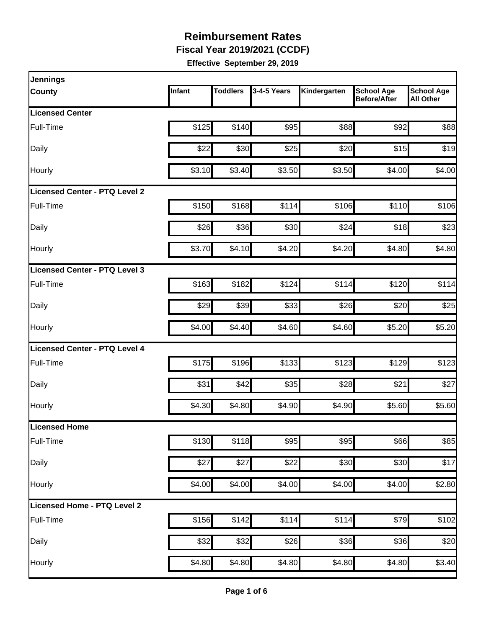**Fiscal Year 2019/2021 (CCDF)**

| <b>Jennings</b>                      |        |                 |             |              |                                          |                                       |
|--------------------------------------|--------|-----------------|-------------|--------------|------------------------------------------|---------------------------------------|
| County                               | Infant | <b>Toddlers</b> | 3-4-5 Years | Kindergarten | <b>School Age</b><br><b>Before/After</b> | <b>School Age</b><br><b>All Other</b> |
| <b>Licensed Center</b>               |        |                 |             |              |                                          |                                       |
| Full-Time                            | \$125  | \$140           | \$95        | \$88         | \$92                                     | \$88                                  |
| Daily                                | \$22   | \$30            | \$25        | \$20         | \$15                                     | \$19                                  |
| Hourly                               | \$3.10 | \$3.40          | \$3.50      | \$3.50       | \$4.00                                   | \$4.00                                |
| <b>Licensed Center - PTQ Level 2</b> |        |                 |             |              |                                          |                                       |
| Full-Time                            | \$150  | \$168           | \$114       | \$106        | \$110                                    | \$106                                 |
| Daily                                | \$26   | \$36            | \$30        | \$24         | \$18                                     | \$23                                  |
| Hourly                               | \$3.70 | \$4.10          | \$4.20      | \$4.20       | \$4.80                                   | \$4.80                                |
| Licensed Center - PTQ Level 3        |        |                 |             |              |                                          |                                       |
| Full-Time                            | \$163  | \$182           | \$124       | \$114        | \$120                                    | \$114                                 |
| Daily                                | \$29   | \$39            | \$33        | \$26         | \$20                                     | \$25                                  |
| Hourly                               | \$4.00 | \$4.40          | \$4.60      | \$4.60       | \$5.20                                   | \$5.20                                |
| Licensed Center - PTQ Level 4        |        |                 |             |              |                                          |                                       |
| Full-Time                            | \$175  | \$196           | \$133       | \$123        | \$129                                    | \$123                                 |
| Daily                                | \$31   | \$42            | \$35        | \$28         | \$21                                     | \$27                                  |
| Hourly                               | \$4.30 | \$4.80          | \$4.90      | \$4.90       | \$5.60                                   | \$5.60                                |
| Licensed Home                        |        |                 |             |              |                                          |                                       |
| Full-Time                            | \$130  | \$118           | \$95        | \$95         | \$66                                     | \$85                                  |
| Daily                                | \$27   | \$27            | \$22        | \$30         | \$30                                     | \$17                                  |
| Hourly                               | \$4.00 | \$4.00          | \$4.00      | \$4.00       | \$4.00                                   | \$2.80                                |
| Licensed Home - PTQ Level 2          |        |                 |             |              |                                          |                                       |
| Full-Time                            | \$156  | \$142]          | \$114       | \$114        | \$79                                     | \$102                                 |
| Daily                                | \$32   | \$32            | \$26        | \$36         | \$36                                     | \$20                                  |
| Hourly                               | \$4.80 | \$4.80          | \$4.80      | \$4.80       | \$4.80                                   | \$3.40                                |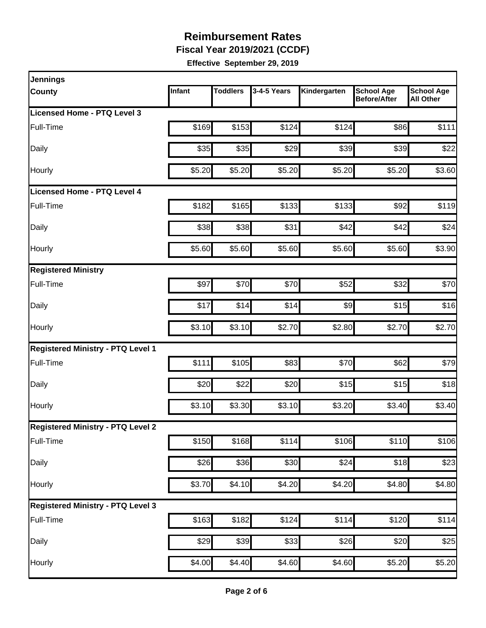**Fiscal Year 2019/2021 (CCDF)**

| Infant | <b>Toddlers</b>        |                                                      | Kindergarten                                                                                                                                                                  | <b>School Age</b><br><b>Before/After</b>                             | <b>School Age</b><br><b>All Other</b>                                                                                                               |
|--------|------------------------|------------------------------------------------------|-------------------------------------------------------------------------------------------------------------------------------------------------------------------------------|----------------------------------------------------------------------|-----------------------------------------------------------------------------------------------------------------------------------------------------|
|        |                        |                                                      |                                                                                                                                                                               |                                                                      |                                                                                                                                                     |
| \$169  |                        | \$124                                                |                                                                                                                                                                               | \$86                                                                 | \$111                                                                                                                                               |
|        |                        | \$29                                                 |                                                                                                                                                                               | \$39                                                                 | \$22                                                                                                                                                |
| \$5.20 |                        | \$5.20                                               |                                                                                                                                                                               | \$5.20                                                               | \$3.60                                                                                                                                              |
|        |                        |                                                      |                                                                                                                                                                               |                                                                      |                                                                                                                                                     |
| \$182  |                        |                                                      |                                                                                                                                                                               | \$92                                                                 | \$119                                                                                                                                               |
| \$38   |                        | \$31                                                 |                                                                                                                                                                               | \$42                                                                 | \$24                                                                                                                                                |
|        |                        |                                                      |                                                                                                                                                                               | \$5.60                                                               | \$3.90                                                                                                                                              |
|        |                        |                                                      |                                                                                                                                                                               |                                                                      |                                                                                                                                                     |
| \$97   |                        | \$70                                                 |                                                                                                                                                                               | \$32                                                                 | \$70                                                                                                                                                |
| \$17   |                        | \$14                                                 |                                                                                                                                                                               | \$15                                                                 | \$16                                                                                                                                                |
| \$3.10 |                        | \$2.70                                               |                                                                                                                                                                               | \$2.70                                                               | \$2.70                                                                                                                                              |
|        |                        |                                                      |                                                                                                                                                                               |                                                                      |                                                                                                                                                     |
| \$111  |                        | \$83                                                 |                                                                                                                                                                               | \$62                                                                 | \$79                                                                                                                                                |
| \$20   |                        | \$20                                                 |                                                                                                                                                                               | \$15                                                                 | \$18                                                                                                                                                |
|        |                        |                                                      |                                                                                                                                                                               | \$3.40                                                               | \$3.40                                                                                                                                              |
|        |                        |                                                      |                                                                                                                                                                               |                                                                      |                                                                                                                                                     |
|        |                        | \$114                                                |                                                                                                                                                                               | $\overline{$}110$                                                    | \$106                                                                                                                                               |
|        |                        |                                                      |                                                                                                                                                                               | \$18                                                                 | \$23                                                                                                                                                |
|        |                        | \$4.20                                               |                                                                                                                                                                               | \$4.80                                                               | \$4.80                                                                                                                                              |
|        |                        |                                                      |                                                                                                                                                                               |                                                                      |                                                                                                                                                     |
|        |                        |                                                      |                                                                                                                                                                               | \$120                                                                | \$114                                                                                                                                               |
|        |                        |                                                      |                                                                                                                                                                               | \$20                                                                 | \$25                                                                                                                                                |
|        |                        |                                                      |                                                                                                                                                                               | \$5.20                                                               | \$5.20                                                                                                                                              |
|        | \$35<br>\$5.60<br>\$29 | \$3.10<br>\$150<br>\$26<br>\$3.70<br>\$163<br>\$4.00 | 3-4-5 Years<br>\$153<br>\$35<br>\$5.20<br>\$165<br>\$38<br>\$5.60<br>\$70<br>\$14<br>\$3.10<br>\$105<br>\$22<br>\$3.30<br>\$168<br>\$36<br>\$4.10<br>\$182]<br>\$39<br>\$4.40 | \$133<br>\$42<br>\$5.60<br>\$3.10<br>\$30<br>\$124<br>\$33<br>\$4.60 | \$124<br>\$39<br>\$5.20<br>\$133<br>\$5.60<br>\$52<br>\$9<br>\$2.80<br>\$70<br>\$15<br>\$3.20<br>\$106<br>\$24<br>\$4.20<br>\$114<br>\$26<br>\$4.60 |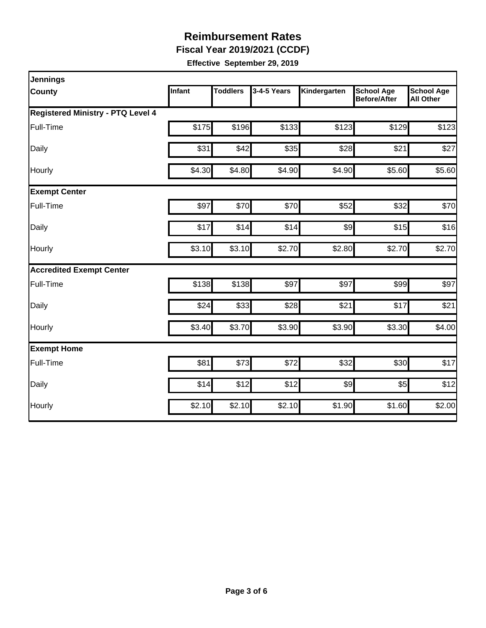**Fiscal Year 2019/2021 (CCDF)**

| <b>Jennings</b>                          |        |                 |             |              |                                          |                                       |
|------------------------------------------|--------|-----------------|-------------|--------------|------------------------------------------|---------------------------------------|
| County                                   | Infant | <b>Toddlers</b> | 3-4-5 Years | Kindergarten | <b>School Age</b><br><b>Before/After</b> | <b>School Age</b><br><b>All Other</b> |
| <b>Registered Ministry - PTQ Level 4</b> |        |                 |             |              |                                          |                                       |
| Full-Time                                | \$175  | \$196           | \$133       | \$123        | \$129                                    | \$123                                 |
| Daily                                    | \$31   | \$42            | \$35        | \$28         | \$21                                     | \$27                                  |
| Hourly                                   | \$4.30 | \$4.80          | \$4.90      | \$4.90       | \$5.60                                   | \$5.60                                |
| <b>Exempt Center</b>                     |        |                 |             |              |                                          |                                       |
| Full-Time                                | \$97   | \$70            | \$70        | \$52         | \$32                                     | \$70                                  |
| Daily                                    | \$17   | \$14            | \$14        | \$9          | \$15                                     | \$16                                  |
| Hourly                                   | \$3.10 | \$3.10          | \$2.70      | \$2.80       | \$2.70                                   | \$2.70                                |
| <b>Accredited Exempt Center</b>          |        |                 |             |              |                                          |                                       |
| Full-Time                                | \$138  | \$138           | \$97        | \$97         | \$99                                     | \$97                                  |
| Daily                                    | \$24   | \$33            | \$28        | \$21         | \$17                                     | \$21                                  |
| Hourly                                   | \$3.40 | \$3.70          | \$3.90      | \$3.90       | \$3.30                                   | \$4.00                                |
| <b>Exempt Home</b>                       |        |                 |             |              |                                          |                                       |
| Full-Time                                | \$81   | \$73            | \$72        | \$32         | \$30                                     | \$17                                  |
| Daily                                    | \$14   | \$12            | \$12        | \$9          | \$5                                      | \$12                                  |
| Hourly                                   | \$2.10 | \$2.10          | \$2.10      | \$1.90       | \$1.60                                   | \$2.00                                |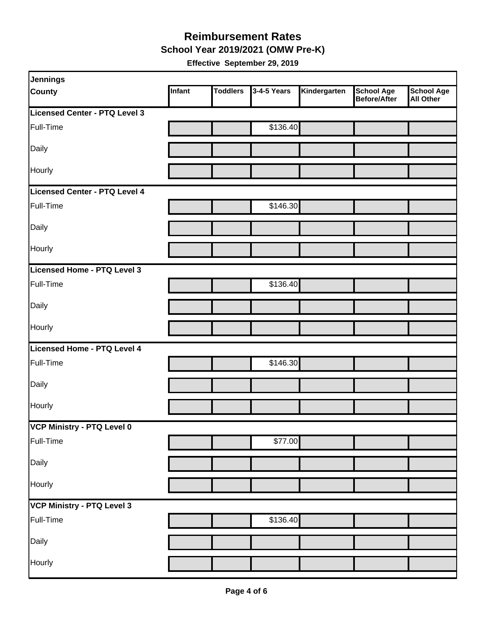#### **School Year 2019/2021 (OMW Pre-K) Reimbursement Rates**

| Jennings                          |        |                 |             |              |                                   |                         |
|-----------------------------------|--------|-----------------|-------------|--------------|-----------------------------------|-------------------------|
| <b>County</b>                     | Infant | <b>Toddlers</b> | 3-4-5 Years | Kindergarten | <b>School Age</b><br>Before/After | School Age<br>All Other |
| Licensed Center - PTQ Level 3     |        |                 |             |              |                                   |                         |
| Full-Time                         |        |                 | \$136.40    |              |                                   |                         |
| Daily                             |        |                 |             |              |                                   |                         |
| Hourly                            |        |                 |             |              |                                   |                         |
| Licensed Center - PTQ Level 4     |        |                 |             |              |                                   |                         |
| Full-Time                         |        |                 | \$146.30    |              |                                   |                         |
| Daily                             |        |                 |             |              |                                   |                         |
| Hourly                            |        |                 |             |              |                                   |                         |
| Licensed Home - PTQ Level 3       |        |                 |             |              |                                   |                         |
| Full-Time                         |        |                 | \$136.40    |              |                                   |                         |
| Daily                             |        |                 |             |              |                                   |                         |
| Hourly                            |        |                 |             |              |                                   |                         |
| Licensed Home - PTQ Level 4       |        |                 |             |              |                                   |                         |
| Full-Time                         |        |                 | \$146.30    |              |                                   |                         |
| Daily                             |        |                 |             |              |                                   |                         |
| Hourly                            |        |                 |             |              |                                   |                         |
| VCP Ministry - PTQ Level 0        |        |                 |             |              |                                   |                         |
| Full-Time                         |        |                 | \$77.00     |              |                                   |                         |
| Daily                             |        |                 |             |              |                                   |                         |
| Hourly                            |        |                 |             |              |                                   |                         |
| <b>VCP Ministry - PTQ Level 3</b> |        |                 |             |              |                                   |                         |
| Full-Time                         |        |                 | \$136.40    |              |                                   |                         |
| Daily                             |        |                 |             |              |                                   |                         |
| Hourly                            |        |                 |             |              |                                   |                         |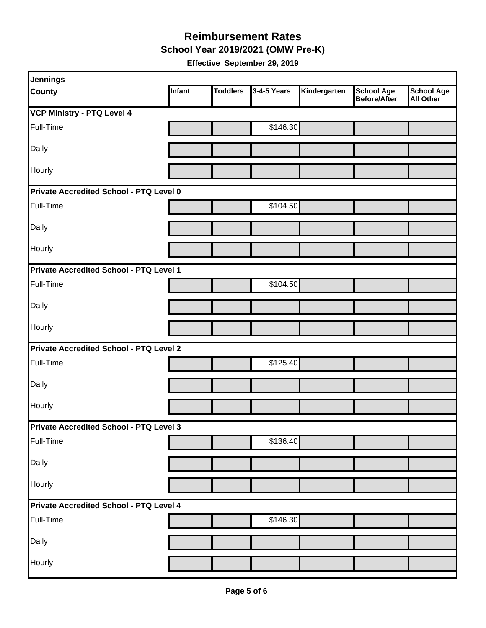**School Year 2019/2021 (OMW Pre-K)**

| Jennings                                       |        |                 |             |              |                                          |                                       |  |  |  |
|------------------------------------------------|--------|-----------------|-------------|--------------|------------------------------------------|---------------------------------------|--|--|--|
| <b>County</b>                                  | Infant | <b>Toddlers</b> | 3-4-5 Years | Kindergarten | <b>School Age</b><br><b>Before/After</b> | <b>School Age</b><br><b>All Other</b> |  |  |  |
| <b>VCP Ministry - PTQ Level 4</b>              |        |                 |             |              |                                          |                                       |  |  |  |
| Full-Time                                      |        |                 | \$146.30    |              |                                          |                                       |  |  |  |
| Daily                                          |        |                 |             |              |                                          |                                       |  |  |  |
| Hourly                                         |        |                 |             |              |                                          |                                       |  |  |  |
| Private Accredited School - PTQ Level 0        |        |                 |             |              |                                          |                                       |  |  |  |
| Full-Time                                      |        |                 | \$104.50    |              |                                          |                                       |  |  |  |
| Daily                                          |        |                 |             |              |                                          |                                       |  |  |  |
| Hourly                                         |        |                 |             |              |                                          |                                       |  |  |  |
| Private Accredited School - PTQ Level 1        |        |                 |             |              |                                          |                                       |  |  |  |
| Full-Time                                      |        |                 | \$104.50    |              |                                          |                                       |  |  |  |
| Daily                                          |        |                 |             |              |                                          |                                       |  |  |  |
| Hourly                                         |        |                 |             |              |                                          |                                       |  |  |  |
| <b>Private Accredited School - PTQ Level 2</b> |        |                 |             |              |                                          |                                       |  |  |  |
| Full-Time                                      |        |                 | \$125.40    |              |                                          |                                       |  |  |  |
| Daily                                          |        |                 |             |              |                                          |                                       |  |  |  |
| Hourly                                         |        |                 |             |              |                                          |                                       |  |  |  |
| Private Accredited School - PTQ Level 3        |        |                 |             |              |                                          |                                       |  |  |  |
| Full-Time                                      |        |                 | \$136.40    |              |                                          |                                       |  |  |  |
| Daily                                          |        |                 |             |              |                                          |                                       |  |  |  |
| Hourly                                         |        |                 |             |              |                                          |                                       |  |  |  |
| Private Accredited School - PTQ Level 4        |        |                 |             |              |                                          |                                       |  |  |  |
| Full-Time                                      |        |                 | \$146.30    |              |                                          |                                       |  |  |  |
| Daily                                          |        |                 |             |              |                                          |                                       |  |  |  |
| Hourly                                         |        |                 |             |              |                                          |                                       |  |  |  |